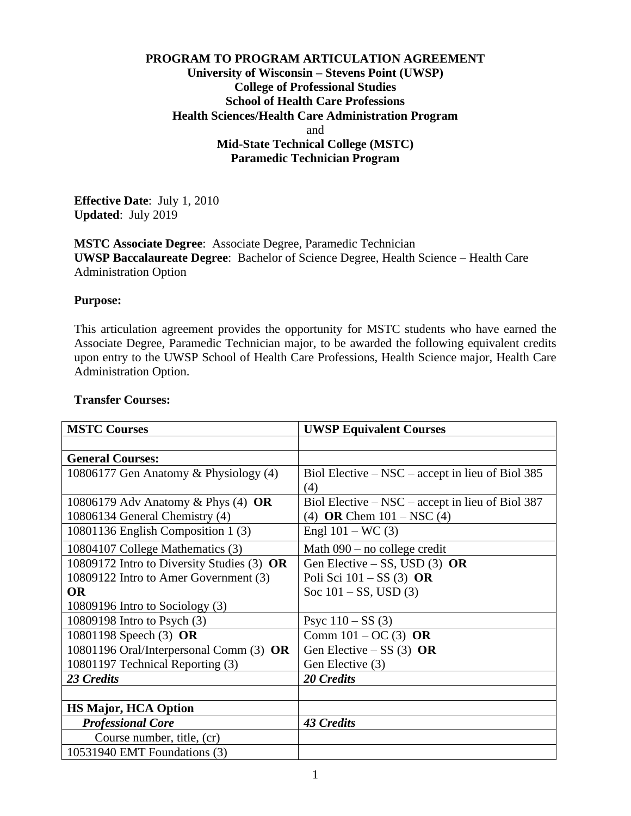## **PROGRAM TO PROGRAM ARTICULATION AGREEMENT University of Wisconsin – Stevens Point (UWSP) College of Professional Studies School of Health Care Professions Health Sciences/Health Care Administration Program** and **Mid-State Technical College (MSTC) Paramedic Technician Program**

**Effective Date**: July 1, 2010 **Updated**: July 2019

**MSTC Associate Degree**: Associate Degree, Paramedic Technician **UWSP Baccalaureate Degree**: Bachelor of Science Degree, Health Science – Health Care Administration Option

#### **Purpose:**

This articulation agreement provides the opportunity for MSTC students who have earned the Associate Degree, Paramedic Technician major, to be awarded the following equivalent credits upon entry to the UWSP School of Health Care Professions, Health Science major, Health Care Administration Option.

| <b>MSTC Courses</b>                        | <b>UWSP Equivalent Courses</b>                   |
|--------------------------------------------|--------------------------------------------------|
|                                            |                                                  |
| <b>General Courses:</b>                    |                                                  |
| 10806177 Gen Anatomy & Physiology (4)      | Biol Elective – NSC – accept in lieu of Biol 385 |
|                                            | (4)                                              |
| 10806179 Adv Anatomy & Phys $(4)$ OR       | Biol Elective – NSC – accept in lieu of Biol 387 |
| 10806134 General Chemistry (4)             | (4) OR Chem $101 - NSC$ (4)                      |
| 10801136 English Composition 1 (3)         | Engl $101 - WC(3)$                               |
| 10804107 College Mathematics (3)           | Math $090$ – no college credit                   |
| 10809172 Intro to Diversity Studies (3) OR | Gen Elective – SS, USD $(3)$ OR                  |
| 10809122 Intro to Amer Government (3)      | Poli Sci $101 - SS(3)$ OR                        |
| <b>OR</b>                                  | Soc $101 - SS$ , USD $(3)$                       |
| 10809196 Intro to Sociology (3)            |                                                  |
| 10809198 Intro to Psych (3)                | Psyc $110 - SS(3)$                               |
| 10801198 Speech (3) OR                     | Comm $101 - OC(3)$ OR                            |
| 10801196 Oral/Interpersonal Comm (3) OR    | Gen Elective – SS $(3)$ OR                       |
| 10801197 Technical Reporting (3)           | Gen Elective (3)                                 |
| 23 Credits                                 | 20 Credits                                       |
|                                            |                                                  |
| <b>HS Major, HCA Option</b>                |                                                  |
| <b>Professional Core</b>                   | <b>43 Credits</b>                                |
| Course number, title, (cr)                 |                                                  |
| 10531940 EMT Foundations (3)               |                                                  |

#### **Transfer Courses:**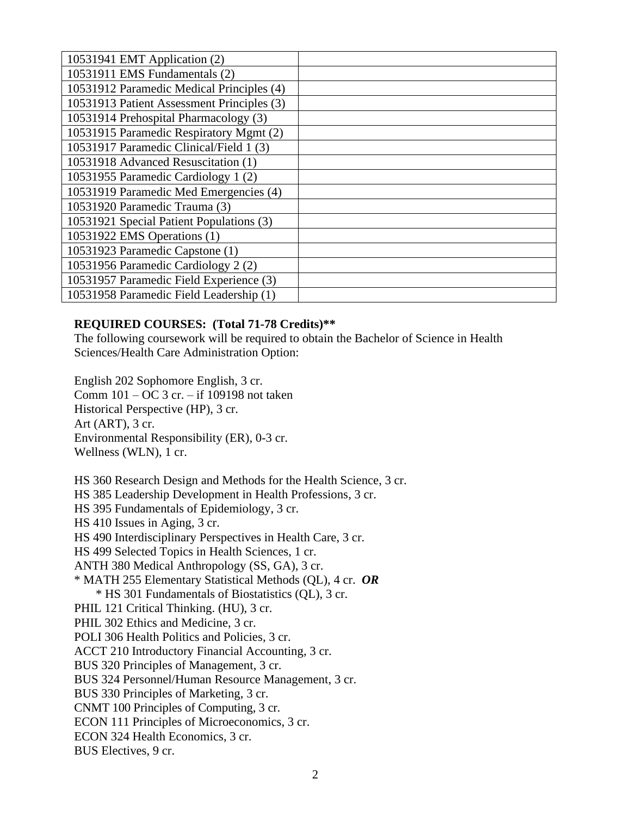| 10531941 EMT Application (2)               |  |
|--------------------------------------------|--|
| 10531911 EMS Fundamentals (2)              |  |
| 10531912 Paramedic Medical Principles (4)  |  |
| 10531913 Patient Assessment Principles (3) |  |
| 10531914 Prehospital Pharmacology (3)      |  |
| 10531915 Paramedic Respiratory Mgmt (2)    |  |
| 10531917 Paramedic Clinical/Field 1 (3)    |  |
| 10531918 Advanced Resuscitation (1)        |  |
| 10531955 Paramedic Cardiology 1 (2)        |  |
| 10531919 Paramedic Med Emergencies (4)     |  |
| 10531920 Paramedic Trauma (3)              |  |
| 10531921 Special Patient Populations (3)   |  |
| 10531922 EMS Operations (1)                |  |
| 10531923 Paramedic Capstone (1)            |  |
| 10531956 Paramedic Cardiology 2 (2)        |  |
| 10531957 Paramedic Field Experience (3)    |  |
| 10531958 Paramedic Field Leadership (1)    |  |

# **REQUIRED COURSES: (Total 71-78 Credits)\*\***

The following coursework will be required to obtain the Bachelor of Science in Health Sciences/Health Care Administration Option:

English 202 Sophomore English, 3 cr. Comm 101 – OC 3 cr. – if 109198 not taken Historical Perspective (HP), 3 cr. Art (ART), 3 cr. Environmental Responsibility (ER), 0-3 cr. Wellness (WLN), 1 cr.

HS 360 Research Design and Methods for the Health Science, 3 cr. HS 385 Leadership Development in Health Professions, 3 cr. HS 395 Fundamentals of Epidemiology, 3 cr. HS 410 Issues in Aging, 3 cr. HS 490 Interdisciplinary Perspectives in Health Care, 3 cr. HS 499 Selected Topics in Health Sciences, 1 cr. ANTH 380 Medical Anthropology (SS, GA), 3 cr. \* MATH 255 Elementary Statistical Methods (QL), 4 cr. *OR* \* HS 301 Fundamentals of Biostatistics (QL), 3 cr. PHIL 121 Critical Thinking. (HU), 3 cr. PHIL 302 Ethics and Medicine, 3 cr. POLI 306 Health Politics and Policies, 3 cr. ACCT 210 Introductory Financial Accounting, 3 cr. BUS 320 Principles of Management, 3 cr. BUS 324 Personnel/Human Resource Management, 3 cr. BUS 330 Principles of Marketing, 3 cr. CNMT 100 Principles of Computing, 3 cr. ECON 111 Principles of Microeconomics, 3 cr. ECON 324 Health Economics, 3 cr. BUS Electives, 9 cr.